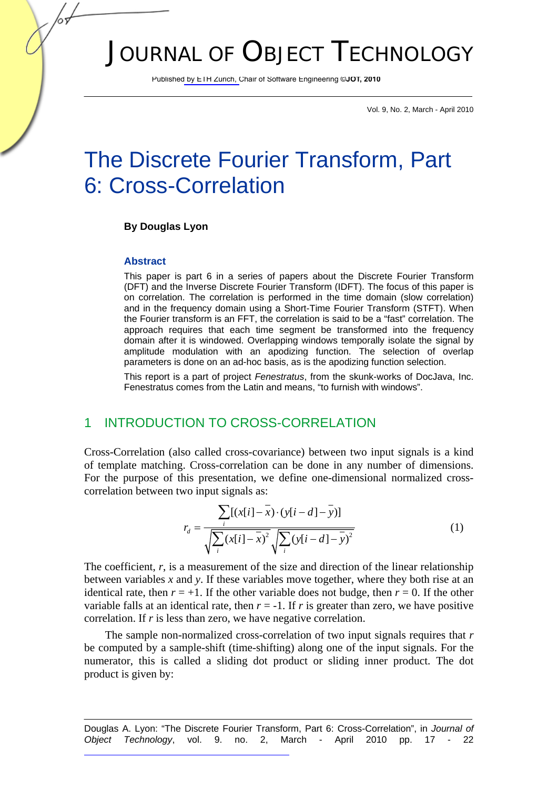# JOURNAL OF OBJECT TECHNOLOGY

Published by ETH Zurich, Chair of Software Engineering ©**JOT, 2010**

Vol. 9, No. 2, March - April 2010

## The Discrete Fourier Transform, Part 6: Cross-Correlation

#### **By Douglas Lyon**

#### **Abstract**

This paper is part 6 in a series of papers about the Discrete Fourier Transform (DFT) and the Inverse Discrete Fourier Transform (IDFT). The focus of this paper is on correlation. The correlation is performed in the time domain (slow correlation) and in the frequency domain using a Short-Time Fourier Transform (STFT). When the Fourier transform is an FFT, the correlation is said to be a "fast" correlation. The approach requires that each time segment be transformed into the frequency domain after it is windowed. Overlapping windows temporally isolate the signal by amplitude modulation with an apodizing function. The selection of overlap parameters is done on an ad-hoc basis, as is the apodizing function selection.

This report is a part of project *Fenestratus*, from the skunk-works of DocJava, Inc. Fenestratus comes from the Latin and means, "to furnish with windows".

#### 1 INTRODUCTION TO CROSS-CORRELATION

Cross-Correlation (also called cross-covariance) between two input signals is a kind of template matching. Cross-correlation can be done in any number of dimensions. For the purpose of this presentation, we define one-dimensional normalized crosscorrelation between two input signals as:

$$
r_{d} = \frac{\sum_{i} [(x[i] - \overline{x}) \cdot (y[i - d] - \overline{y})]}{\sqrt{\sum_{i} (x[i] - \overline{x})^{2}} \sqrt{\sum_{i} (y[i - d] - \overline{y})^{2}}}
$$
(1)

The coefficient,  $r$ , is a measurement of the size and direction of the linear relationship between variables *x* and *y*. If these variables move together, where they both rise at an identical rate, then  $r = +1$ . If the other variable does not budge, then  $r = 0$ . If the other variable falls at an identical rate, then  $r = -1$ . If *r* is greater than zero, we have positive correlation. If *r* is less than zero, we have negative correlation.

The sample non-normalized cross-correlation of two input signals requires that *r* be computed by a sample-shift (time-shifting) along one of the input signals. For the numerator, this is called a sliding dot product or sliding inner product. The dot product is given by:

Douglas A. Lyon: "The Discrete Fourier Transform, Part 6: Cross-Correlation", in *Journal of Object Technology*, vol. 9. no. 2, March - April 2010 pp. 17 - 22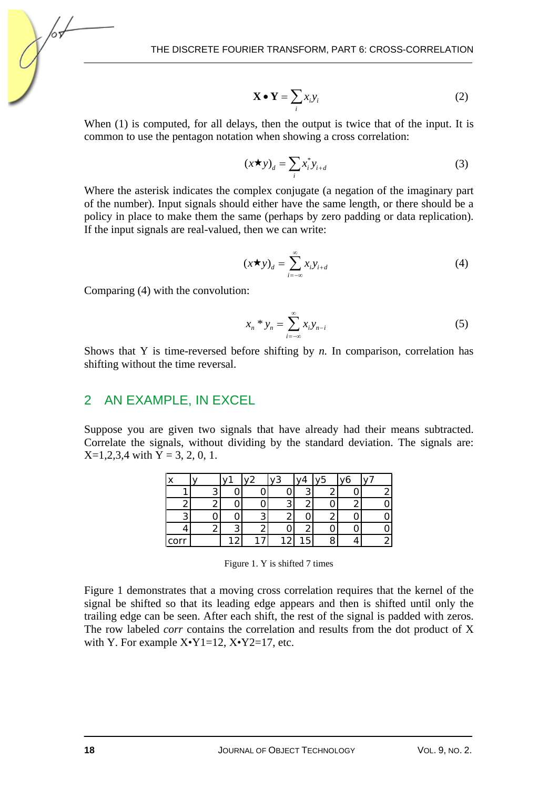$$
\mathbf{X} \bullet \mathbf{Y} = \sum_{i} x_i y_i \tag{2}
$$

When (1) is computed, for all delays, then the output is twice that of the input. It is common to use the pentagon notation when showing a cross correlation:

$$
(x \star y)_d = \sum_i x_i^* y_{i+d} \tag{3}
$$

Where the asterisk indicates the complex conjugate (a negation of the imaginary part of the number). Input signals should either have the same length, or there should be a policy in place to make them the same (perhaps by zero padding or data replication). If the input signals are real-valued, then we can write:

$$
(x \star y)_d = \sum_{i=-\infty}^{\infty} x_i y_{i+d} \tag{4}
$$

Comparing (4) with the convolution:

$$
x_n * y_n = \sum_{i=-\infty}^{\infty} x_i y_{n-i}
$$
 (5)

Shows that Y is time-reversed before shifting by *n*. In comparison, correlation has shifting without the time reversal.

#### 2 AN EXAMPLE, IN EXCEL

Suppose you are given two signals that have already had their means subtracted. Correlate the signals, without dividing by the standard deviation. The signals are:  $X=1,2,3,4$  with  $Y=3, 2, 0, 1$ .

|      |   | $\cdot$ . $\sim$ | 72 | $\overline{11}$ | ۷5 | 16 |   |
|------|---|------------------|----|-----------------|----|----|---|
|      |   |                  |    |                 |    |    |   |
|      |   |                  |    |                 |    |    |   |
| ◠    |   |                  |    |                 |    |    | ი |
|      |   |                  |    |                 |    |    | ი |
| corr | ∠ |                  | ∠  | 5               |    |    |   |

Figure 1. Y is shifted 7 times

Figure 1 demonstrates that a moving cross correlation requires that the kernel of the signal be shifted so that its leading edge appears and then is shifted until only the trailing edge can be seen. After each shift, the rest of the signal is padded with zeros. The row labeled *corr* contains the correlation and results from the dot product of X with Y. For example  $X^{\bullet}Y1=12$ ,  $X^{\bullet}Y2=17$ , etc.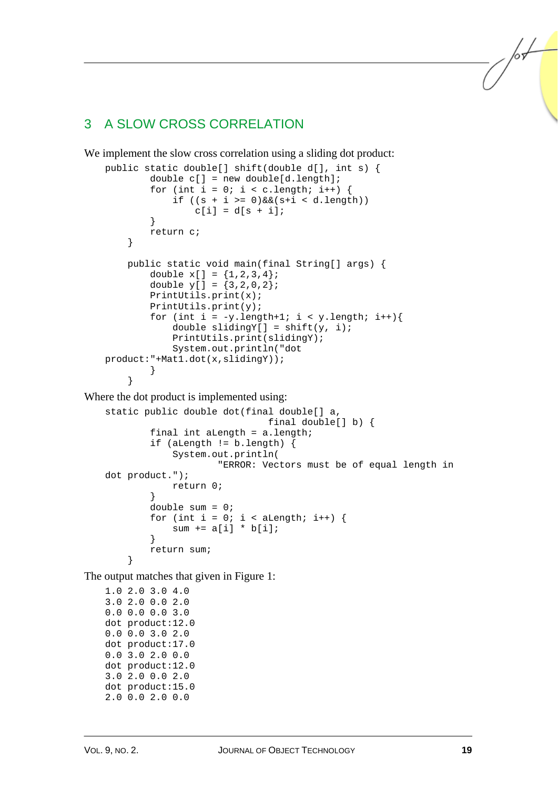### 3 A SLOW CROSS CORRELATION

We implement the slow cross correlation using a sliding dot product:

```
public static double[] shift(double d[], int s) { 
             double c[] = new double[d.length]; 
            for (int i = 0; i < c.length; i++) {
                if ((s + i) = 0) & (s + i < d.length)c[i] = d[s + i]; } 
             return c; 
         } 
         public static void main(final String[] args) { 
            double x[ ] = {1, 2, 3, 4};
            double y[ ] = {3, 2, 0, 2}; PrintUtils.print(x); 
             PrintUtils.print(y); 
            for (int i = -y.length+1; i < y.length; i++){
                double slidingY[] = shift(y, i); PrintUtils.print(slidingY); 
                 System.out.println("dot 
   product:"+Mat1.dot(x,slidingY)); 
     } 
         } 
Where the dot product is implemented using: 
   static public double dot(final double[] a, 
                                   final double[] b) { 
             final int aLength = a.length; 
             if (aLength != b.length) { 
                 System.out.println( 
                          "ERROR: Vectors must be of equal length in 
   dot product."); 
                 return 0; 
     }
```

```
 double sum = 0; 
       for (int i = 0; i < aLength; i++) {
          sum += a[i] * b[i]; } 
   return sum;
```
The output matches that given in Figure 1:

1.0 2.0 3.0 4.0 3.0 2.0 0.0 2.0 0.0 0.0 0.0 3.0 dot product:12.0 0.0 0.0 3.0 2.0 dot product:17.0 0.0 3.0 2.0 0.0 dot product:12.0 3.0 2.0 0.0 2.0 dot product:15.0 2.0 0.0 2.0 0.0

}

lst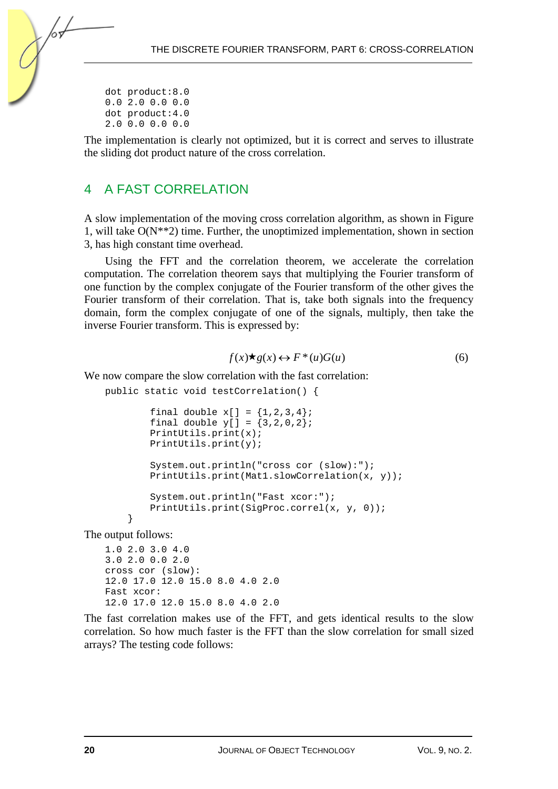dot product:8.0 0.0 2.0 0.0 0.0 dot product:4.0 2.0 0.0 0.0 0.0

The implementation is clearly not optimized, but it is correct and serves to illustrate the sliding dot product nature of the cross correlation.

## 4 A FAST CORRELATION

A slow implementation of the moving cross correlation algorithm, as shown in Figure 1, will take O(N\*\*2) time. Further, the unoptimized implementation, shown in section 3, has high constant time overhead.

Using the FFT and the correlation theorem, we accelerate the correlation computation. The correlation theorem says that multiplying the Fourier transform of one function by the complex conjugate of the Fourier transform of the other gives the Fourier transform of their correlation. That is, take both signals into the frequency domain, form the complex conjugate of one of the signals, multiply, then take the inverse Fourier transform. This is expressed by:

$$
f(x) \star g(x) \leftrightarrow F^*(u)G(u) \tag{6}
$$

We now compare the slow correlation with the fast correlation:

public static void testCorrelation() {

```
final double x[ ] = {1, 2, 3, 4};
final double y[ ] = {3, 2, 0, 2}; PrintUtils.print(x); 
 PrintUtils.print(y); 
 System.out.println("cross cor (slow):"); 
 PrintUtils.print(Mat1.slowCorrelation(x, y)); 
 System.out.println("Fast xcor:"); 
 PrintUtils.print(SigProc.correl(x, y, 0));
```
 } The output follows:

> 1.0 2.0 3.0 4.0 3.0 2.0 0.0 2.0 cross cor (slow): 12.0 17.0 12.0 15.0 8.0 4.0 2.0 Fast xcor: 12.0 17.0 12.0 15.0 8.0 4.0 2.0

The fast correlation makes use of the FFT, and gets identical results to the slow correlation. So how much faster is the FFT than the slow correlation for small sized arrays? The testing code follows: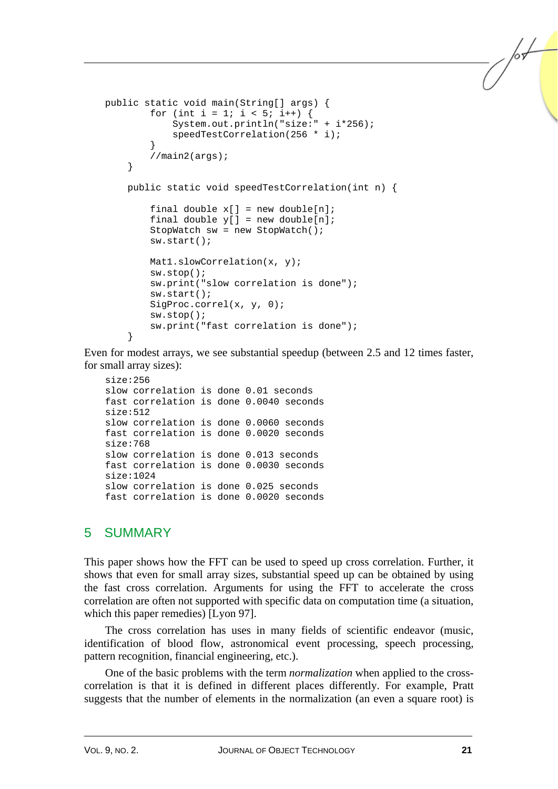```
public static void main(String[] args) { 
        for (int i = 1; i < 5; i++) {
             System.out.println("size:" + i*256); 
             speedTestCorrelation(256 * i);
 } 
         //main2(args); 
     } 
     public static void speedTestCorrelation(int n) { 
        final double x[] = new double[n];
        final double y[] = new double[n];
         StopWatch sw = new StopWatch(); 
         sw.start(); 
         Mat1.slowCorrelation(x, y); 
         sw.stop(); 
         sw.print("slow correlation is done"); 
         sw.start(); 
         SigProc.correl(x, y, 0); 
         sw.stop(); 
         sw.print("fast correlation is done"); 
     }
```
Even for modest arrays, we see substantial speedup (between 2.5 and 12 times faster, for small array sizes):

```
size:256 
slow correlation is done 0.01 seconds 
fast correlation is done 0.0040 seconds 
size:512 
slow correlation is done 0.0060 seconds 
fast correlation is done 0.0020 seconds 
size:768 
slow correlation is done 0.013 seconds 
fast correlation is done 0.0030 seconds 
size:1024 
slow correlation is done 0.025 seconds 
fast correlation is done 0.0020 seconds
```
### 5 SUMMARY

This paper shows how the FFT can be used to speed up cross correlation. Further, it shows that even for small array sizes, substantial speed up can be obtained by using the fast cross correlation. Arguments for using the FFT to accelerate the cross correlation are often not supported with specific data on computation time (a situation, which this paper remedies) [Lyon 97].

The cross correlation has uses in many fields of scientific endeavor (music, identification of blood flow, astronomical event processing, speech processing, pattern recognition, financial engineering, etc.).

One of the basic problems with the term *normalization* when applied to the crosscorrelation is that it is defined in different places differently. For example, Pratt suggests that the number of elements in the normalization (an even a square root) is